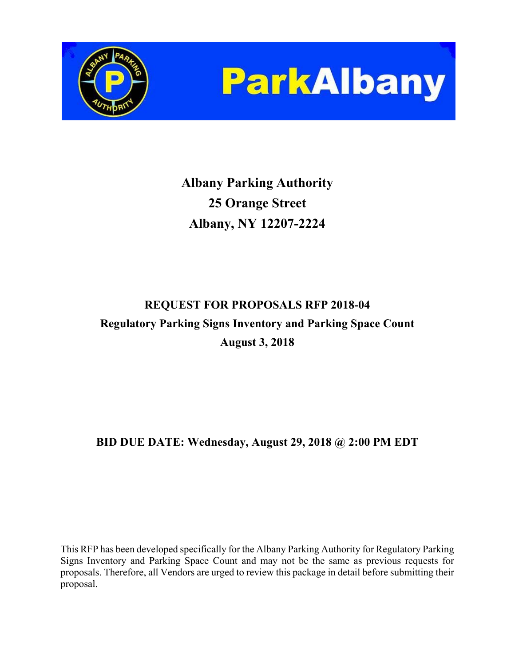



**Albany Parking Authority 25 Orange Street Albany, NY 12207-2224** 

# **REQUEST FOR PROPOSALS RFP 2018-04 Regulatory Parking Signs Inventory and Parking Space Count August 3, 2018**

# **BID DUE DATE: Wednesday, August 29, 2018 @ 2:00 PM EDT**

This RFP has been developed specifically for the Albany Parking Authority for Regulatory Parking Signs Inventory and Parking Space Count and may not be the same as previous requests for proposals. Therefore, all Vendors are urged to review this package in detail before submitting their proposal.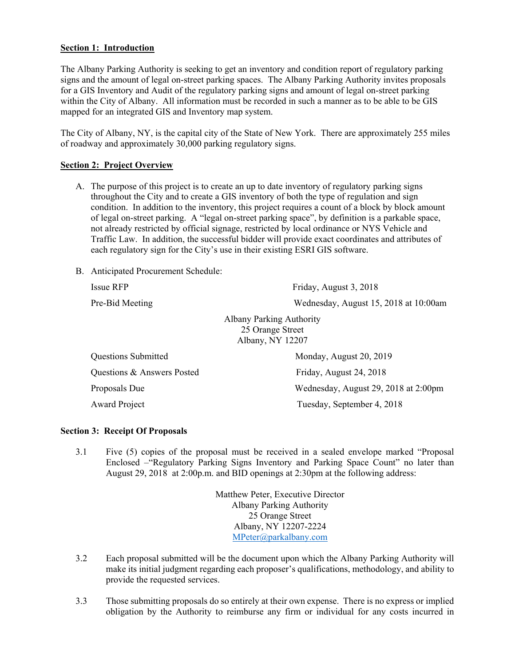#### **Section 1: Introduction**

The Albany Parking Authority is seeking to get an inventory and condition report of regulatory parking signs and the amount of legal on-street parking spaces. The Albany Parking Authority invites proposals for a GIS Inventory and Audit of the regulatory parking signs and amount of legal on-street parking within the City of Albany. All information must be recorded in such a manner as to be able to be GIS mapped for an integrated GIS and Inventory map system.

The City of Albany, NY, is the capital city of the State of New York. There are approximately 255 miles of roadway and approximately 30,000 parking regulatory signs.

#### **Section 2: Project Overview**

- A. The purpose of this project is to create an up to date inventory of regulatory parking signs throughout the City and to create a GIS inventory of both the type of regulation and sign condition. In addition to the inventory, this project requires a count of a block by block amount of legal on-street parking. A "legal on-street parking space", by definition is a parkable space, not already restricted by official signage, restricted by local ordinance or NYS Vehicle and Traffic Law. In addition, the successful bidder will provide exact coordinates and attributes of each regulatory sign for the City's use in their existing ESRI GIS software.
- B. Anticipated Procurement Schedule:

Issue RFP Friday, August 3, 2018 Pre-Bid Meeting Wednesday, August 15, 2018 at 10:00am Albany Parking Authority 25 Orange Street Albany, NY 12207 Questions Submitted Monday, August 20, 2019 Questions & Answers Posted Friday, August 24, 2018 Proposals Due Wednesday, August 29, 2018 at 2:00pm Award Project Tuesday, September 4, 2018

#### **Section 3: Receipt Of Proposals**

3.1 Five (5) copies of the proposal must be received in a sealed envelope marked "Proposal Enclosed –"Regulatory Parking Signs Inventory and Parking Space Count" no later than August 29, 2018 at 2:00p.m. and BID openings at 2:30pm at the following address:

> Matthew Peter, Executive Director Albany Parking Authority 25 Orange Street Albany, NY 12207-2224 MPeter@parkalbany.com

- 3.2 Each proposal submitted will be the document upon which the Albany Parking Authority will make its initial judgment regarding each proposer's qualifications, methodology, and ability to provide the requested services.
- 3.3 Those submitting proposals do so entirely at their own expense. There is no express or implied obligation by the Authority to reimburse any firm or individual for any costs incurred in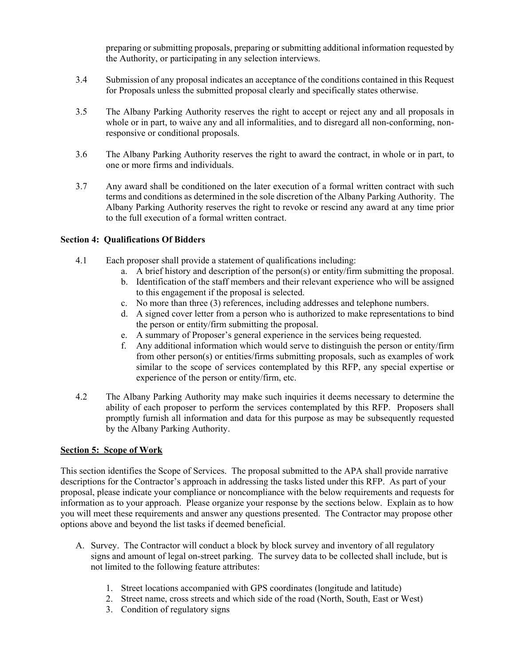preparing or submitting proposals, preparing or submitting additional information requested by the Authority, or participating in any selection interviews.

- 3.4 Submission of any proposal indicates an acceptance of the conditions contained in this Request for Proposals unless the submitted proposal clearly and specifically states otherwise.
- 3.5 The Albany Parking Authority reserves the right to accept or reject any and all proposals in whole or in part, to waive any and all informalities, and to disregard all non-conforming, nonresponsive or conditional proposals.
- 3.6 The Albany Parking Authority reserves the right to award the contract, in whole or in part, to one or more firms and individuals.
- 3.7 Any award shall be conditioned on the later execution of a formal written contract with such terms and conditions as determined in the sole discretion of the Albany Parking Authority. The Albany Parking Authority reserves the right to revoke or rescind any award at any time prior to the full execution of a formal written contract.

#### **Section 4: Qualifications Of Bidders**

- 4.1 Each proposer shall provide a statement of qualifications including:
	- a. A brief history and description of the person(s) or entity/firm submitting the proposal.
	- b. Identification of the staff members and their relevant experience who will be assigned to this engagement if the proposal is selected.
	- c. No more than three (3) references, including addresses and telephone numbers.
	- d. A signed cover letter from a person who is authorized to make representations to bind the person or entity/firm submitting the proposal.
	- e. A summary of Proposer's general experience in the services being requested.
	- f. Any additional information which would serve to distinguish the person or entity/firm from other person(s) or entities/firms submitting proposals, such as examples of work similar to the scope of services contemplated by this RFP, any special expertise or experience of the person or entity/firm, etc.
- 4.2 The Albany Parking Authority may make such inquiries it deems necessary to determine the ability of each proposer to perform the services contemplated by this RFP. Proposers shall promptly furnish all information and data for this purpose as may be subsequently requested by the Albany Parking Authority.

#### **Section 5: Scope of Work**

This section identifies the Scope of Services. The proposal submitted to the APA shall provide narrative descriptions for the Contractor's approach in addressing the tasks listed under this RFP. As part of your proposal, please indicate your compliance or noncompliance with the below requirements and requests for information as to your approach. Please organize your response by the sections below. Explain as to how you will meet these requirements and answer any questions presented. The Contractor may propose other options above and beyond the list tasks if deemed beneficial.

- A. Survey. The Contractor will conduct a block by block survey and inventory of all regulatory signs and amount of legal on-street parking. The survey data to be collected shall include, but is not limited to the following feature attributes:
	- 1. Street locations accompanied with GPS coordinates (longitude and latitude)
	- 2. Street name, cross streets and which side of the road (North, South, East or West)
	- 3. Condition of regulatory signs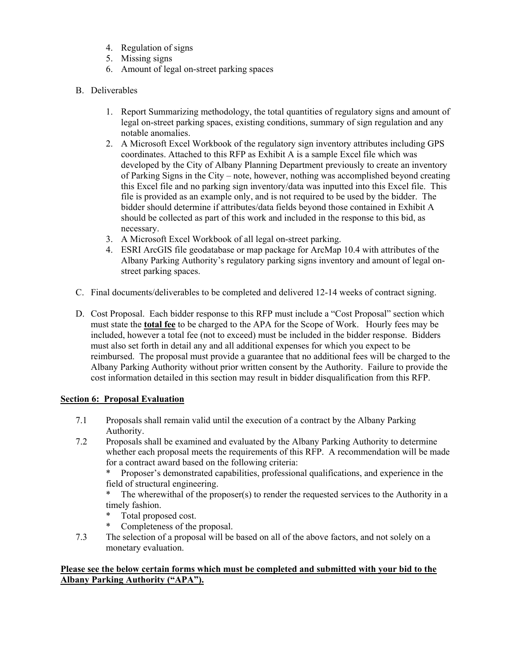- 4. Regulation of signs
- 5. Missing signs
- 6. Amount of legal on-street parking spaces
- B. Deliverables
	- 1. Report Summarizing methodology, the total quantities of regulatory signs and amount of legal on-street parking spaces, existing conditions, summary of sign regulation and any notable anomalies.
	- 2. A Microsoft Excel Workbook of the regulatory sign inventory attributes including GPS coordinates. Attached to this RFP as Exhibit A is a sample Excel file which was developed by the City of Albany Planning Department previously to create an inventory of Parking Signs in the City – note, however, nothing was accomplished beyond creating this Excel file and no parking sign inventory/data was inputted into this Excel file. This file is provided as an example only, and is not required to be used by the bidder. The bidder should determine if attributes/data fields beyond those contained in Exhibit A should be collected as part of this work and included in the response to this bid, as necessary.
	- 3. A Microsoft Excel Workbook of all legal on-street parking.
	- 4. ESRI ArcGIS file geodatabase or map package for ArcMap 10.4 with attributes of the Albany Parking Authority's regulatory parking signs inventory and amount of legal onstreet parking spaces.
- C. Final documents/deliverables to be completed and delivered 12-14 weeks of contract signing.
- D. Cost Proposal. Each bidder response to this RFP must include a "Cost Proposal" section which must state the **total fee** to be charged to the APA for the Scope of Work. Hourly fees may be included, however a total fee (not to exceed) must be included in the bidder response. Bidders must also set forth in detail any and all additional expenses for which you expect to be reimbursed. The proposal must provide a guarantee that no additional fees will be charged to the Albany Parking Authority without prior written consent by the Authority. Failure to provide the cost information detailed in this section may result in bidder disqualification from this RFP.

## **Section 6: Proposal Evaluation**

- 7.1 Proposals shall remain valid until the execution of a contract by the Albany Parking Authority.
- 7.2 Proposals shall be examined and evaluated by the Albany Parking Authority to determine whether each proposal meets the requirements of this RFP. A recommendation will be made for a contract award based on the following criteria:

 \* Proposer's demonstrated capabilities, professional qualifications, and experience in the field of structural engineering.

The wherewithal of the proposer(s) to render the requested services to the Authority in a timely fashion.

- Total proposed cost.
- \* Completeness of the proposal.
- 7.3 The selection of a proposal will be based on all of the above factors, and not solely on a monetary evaluation.

### **Please see the below certain forms which must be completed and submitted with your bid to the Albany Parking Authority ("APA").**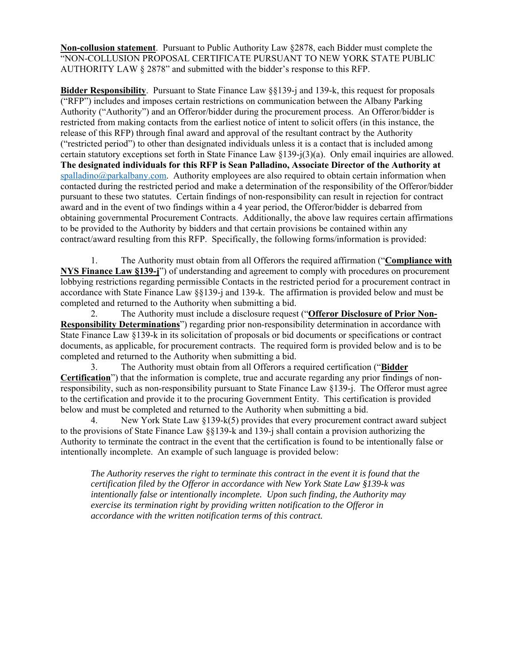**Non-collusion statement**. Pursuant to Public Authority Law §2878, each Bidder must complete the "NON-COLLUSION PROPOSAL CERTIFICATE PURSUANT TO NEW YORK STATE PUBLIC AUTHORITY LAW § 2878" and submitted with the bidder's response to this RFP.

**Bidder Responsibility**. Pursuant to State Finance Law §§139-j and 139-k, this request for proposals ("RFP") includes and imposes certain restrictions on communication between the Albany Parking Authority ("Authority") and an Offeror/bidder during the procurement process. An Offeror/bidder is restricted from making contacts from the earliest notice of intent to solicit offers (in this instance, the release of this RFP) through final award and approval of the resultant contract by the Authority ("restricted period") to other than designated individuals unless it is a contact that is included among certain statutory exceptions set forth in State Finance Law §139-j(3)(a). Only email inquiries are allowed. **The designated individuals for this RFP is Sean Palladino, Associate Director of the Authority at**   $spalladino@parkalbany.com.$  Authority employees are also required to obtain certain information when contacted during the restricted period and make a determination of the responsibility of the Offeror/bidder pursuant to these two statutes. Certain findings of non-responsibility can result in rejection for contract award and in the event of two findings within a 4 year period, the Offeror/bidder is debarred from obtaining governmental Procurement Contracts. Additionally, the above law requires certain affirmations to be provided to the Authority by bidders and that certain provisions be contained within any contract/award resulting from this RFP. Specifically, the following forms/information is provided:

1. The Authority must obtain from all Offerors the required affirmation ("**Compliance with NYS Finance Law §139-j**") of understanding and agreement to comply with procedures on procurement lobbying restrictions regarding permissible Contacts in the restricted period for a procurement contract in accordance with State Finance Law §§139-j and 139-k. The affirmation is provided below and must be completed and returned to the Authority when submitting a bid.

2. The Authority must include a disclosure request ("**Offeror Disclosure of Prior Non-Responsibility Determinations**") regarding prior non-responsibility determination in accordance with State Finance Law §139-k in its solicitation of proposals or bid documents or specifications or contract documents, as applicable, for procurement contracts. The required form is provided below and is to be completed and returned to the Authority when submitting a bid.

3. The Authority must obtain from all Offerors a required certification ("**Bidder Certification**") that the information is complete, true and accurate regarding any prior findings of nonresponsibility, such as non-responsibility pursuant to State Finance Law §139-j. The Offeror must agree to the certification and provide it to the procuring Government Entity. This certification is provided below and must be completed and returned to the Authority when submitting a bid.

4. New York State Law §139-k(5) provides that every procurement contract award subject to the provisions of State Finance Law §§139-k and 139-j shall contain a provision authorizing the Authority to terminate the contract in the event that the certification is found to be intentionally false or intentionally incomplete. An example of such language is provided below:

*The Authority reserves the right to terminate this contract in the event it is found that the certification filed by the Offeror in accordance with New York State Law §139-k was intentionally false or intentionally incomplete. Upon such finding, the Authority may exercise its termination right by providing written notification to the Offeror in accordance with the written notification terms of this contract.*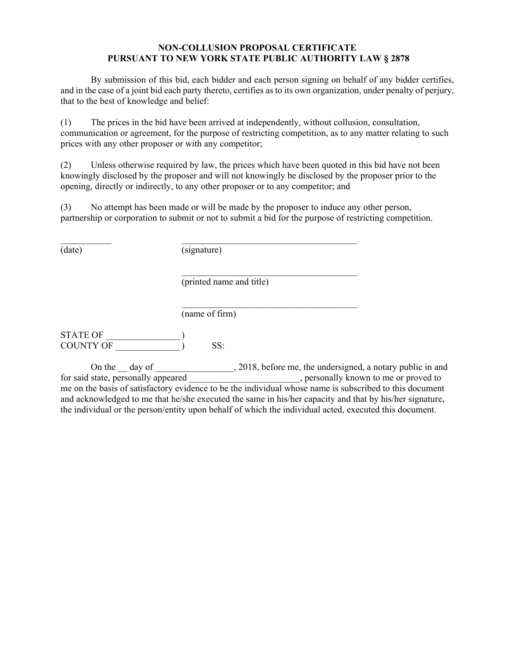#### **NON-COLLUSION PROPOSAL CERTIFICATE PURSUANT TO NEW YORK STATE PUBLIC AUTHORITY LAW § 2878**

 By submission of this bid, each bidder and each person signing on behalf of any bidder certifies, and in the case of a joint bid each party thereto, certifies as to its own organization, under penalty of perjury, that to the best of knowledge and belief:

(1) The prices in the bid have been arrived at independently, without collusion, consultation, communication or agreement, for the purpose of restricting competition, as to any matter relating to such prices with any other proposer or with any competitor;

(2) Unless otherwise required by law, the prices which have been quoted in this bid have not been knowingly disclosed by the proposer and will not knowingly be disclosed by the proposer prior to the opening, directly or indirectly, to any other proposer or to any competitor; and

(3) No attempt has been made or will be made by the proposer to induce any other person, partnership or corporation to submit or not to submit a bid for the purpose of restricting competition.

(date) (signature)

 $\mathcal{L}_\text{max}$  and the contract of the contract of the contract of the contract of the contract of the contract of the contract of the contract of the contract of the contract of the contract of the contract of the contrac

 $\mathcal{L}_\text{max}$  and  $\mathcal{L}_\text{max}$  and  $\mathcal{L}_\text{max}$  and  $\mathcal{L}_\text{max}$ 

(printed name and title)

(name of firm)

STATE OF COUNTY OF  $\qquad \qquad$  ) SS:

On the \_\_ day of \_\_\_\_\_\_\_\_\_\_\_\_\_\_, 2018, before me, the undersigned, a notary public in and for said state, personally appeared \_\_\_\_\_\_\_\_\_\_\_\_\_\_\_\_\_\_\_\_\_\_, personally known to me or proved to me on the basis of satisfactory evidence to be the individual whose name is subscribed to this document and acknowledged to me that he/she executed the same in his/her capacity and that by his/her signature, the individual or the person/entity upon behalf of which the individual acted, executed this document.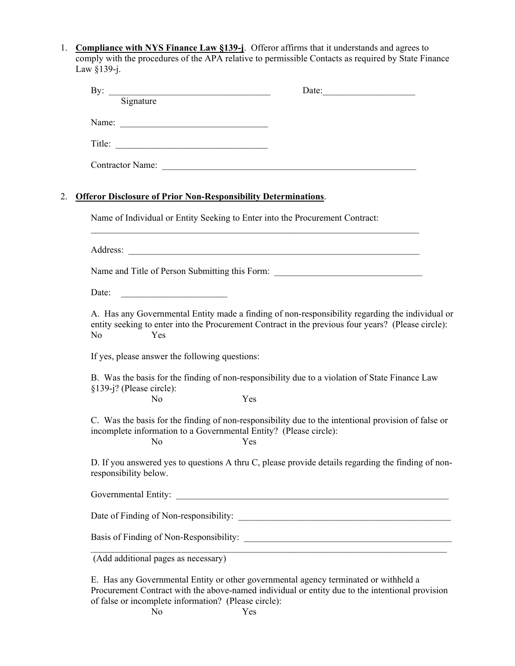1. **Compliance with NYS Finance Law §139-j**. Offeror affirms that it understands and agrees to comply with the procedures of the APA relative to permissible Contacts as required by State Finance Law §139-j.

|                          |                                                  | By: $\frac{1}{\text{Signature}}$<br>Date:                                                                                                                                                             |
|--------------------------|--------------------------------------------------|-------------------------------------------------------------------------------------------------------------------------------------------------------------------------------------------------------|
|                          |                                                  |                                                                                                                                                                                                       |
|                          |                                                  |                                                                                                                                                                                                       |
|                          |                                                  |                                                                                                                                                                                                       |
|                          |                                                  |                                                                                                                                                                                                       |
|                          |                                                  | <b>Offeror Disclosure of Prior Non-Responsibility Determinations.</b>                                                                                                                                 |
|                          |                                                  | Name of Individual or Entity Seeking to Enter into the Procurement Contract:                                                                                                                          |
|                          |                                                  |                                                                                                                                                                                                       |
|                          |                                                  | Name and Title of Person Submitting this Form: __________________________________                                                                                                                     |
| Date:                    | <u> 1990 - Johann Barn, mars ann an t-Amhain</u> |                                                                                                                                                                                                       |
| No                       | Yes                                              | A. Has any Governmental Entity made a finding of non-responsibility regarding the individual or<br>entity seeking to enter into the Procurement Contract in the previous four years? (Please circle): |
|                          | If yes, please answer the following questions:   |                                                                                                                                                                                                       |
| §139-j? (Please circle): |                                                  | B. Was the basis for the finding of non-responsibility due to a violation of State Finance Law                                                                                                        |
|                          | No                                               | Yes                                                                                                                                                                                                   |
|                          | No                                               | C. Was the basis for the finding of non-responsibility due to the intentional provision of false or<br>incomplete information to a Governmental Entity? (Please circle):<br>Yes                       |
| responsibility below.    |                                                  | D. If you answered yes to questions A thru C, please provide details regarding the finding of non-                                                                                                    |
|                          |                                                  |                                                                                                                                                                                                       |
|                          |                                                  |                                                                                                                                                                                                       |
|                          |                                                  |                                                                                                                                                                                                       |
|                          |                                                  | (Add additional pages as necessary)                                                                                                                                                                   |
|                          |                                                  | E. Has any Governmental Entity or other governmental agency terminated or withheld a                                                                                                                  |

Procurement Contract with the above-named individual or entity due to the intentional provision of false or incomplete information? (Please circle):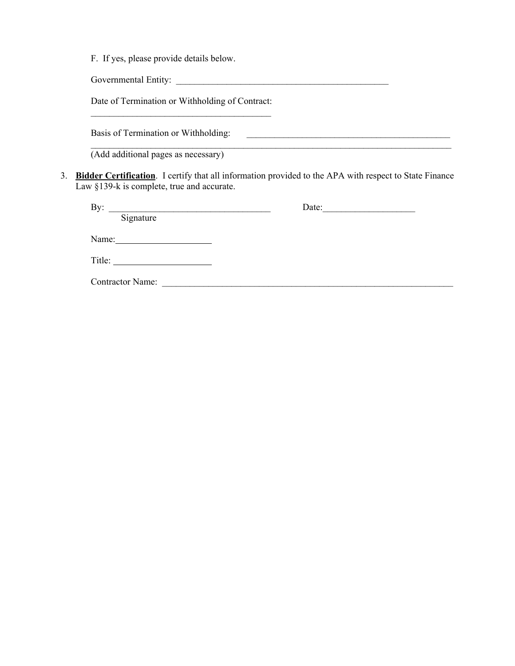F. If yes, please provide details below.

Governmental Entity:

Date of Termination or Withholding of Contract:  $\mathcal{L}_\text{max}$ 

Basis of Termination or Withholding:

(Add additional pages as necessary)

3. **Bidder Certification**. I certify that all information provided to the APA with respect to State Finance Law §139-k is complete, true and accurate.

 $\mathcal{L}_\mathcal{L} = \{ \mathcal{L}_\mathcal{L} = \{ \mathcal{L}_\mathcal{L} = \{ \mathcal{L}_\mathcal{L} = \{ \mathcal{L}_\mathcal{L} = \{ \mathcal{L}_\mathcal{L} = \{ \mathcal{L}_\mathcal{L} = \{ \mathcal{L}_\mathcal{L} = \{ \mathcal{L}_\mathcal{L} = \{ \mathcal{L}_\mathcal{L} = \{ \mathcal{L}_\mathcal{L} = \{ \mathcal{L}_\mathcal{L} = \{ \mathcal{L}_\mathcal{L} = \{ \mathcal{L}_\mathcal{L} = \{ \mathcal{L}_\mathcal{$ 

| By:                     | Date: |
|-------------------------|-------|
| Signature               |       |
| Name:                   |       |
| Title:                  |       |
| <b>Contractor Name:</b> |       |